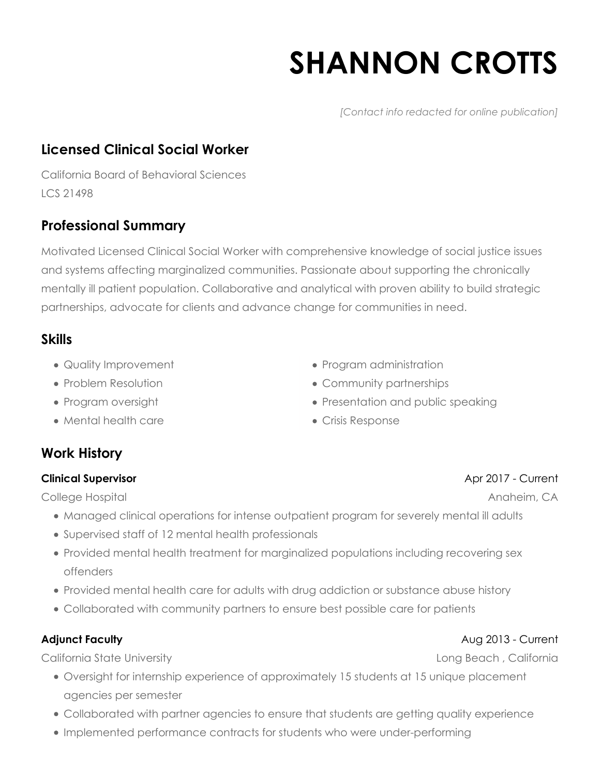# **SHANNON CROTTS**

*[Contact info redacted for online publication]*

# **Licensed Clinical Social Worker**

California Board of Behavioral Sciences LCS 21498

# **Professional Summary**

Motivated Licensed Clinical Social Worker with comprehensive knowledge of social justice issues and systems affecting marginalized communities. Passionate about supporting the chronically mentally ill patient population. Collaborative and analytical with proven ability to build strategic partnerships, advocate for clients and advance change for communities in need.

## **Skills**

- Quality Improvement
- Problem Resolution
- Program oversight
- Mental health care
- Program administration
- Community partnerships
- Presentation and public speaking
- Crisis Response

# **Work History**

#### **Clinical Supervisor**

College Hospital

- Managed clinical operations for intense outpatient program for severely mental ill adults
- Supervised staff of 12 mental health professionals
- Provided mental health treatment for marginalized populations including recovering sex offenders
- Provided mental health care for adults with drug addiction or substance abuse history
- Collaborated with community partners to ensure best possible care for patients

#### **Adjunct Faculty**

California State University

- Oversight for internship experience of approximately 15 students at 15 unique placement agencies per semester
- Collaborated with partner agencies to ensure that students are getting quality experience
- Implemented performance contracts for students who were under-performing

### Apr 2017 - Current

Anaheim, CA

#### Aug 2013 - Current

Long Beach , California